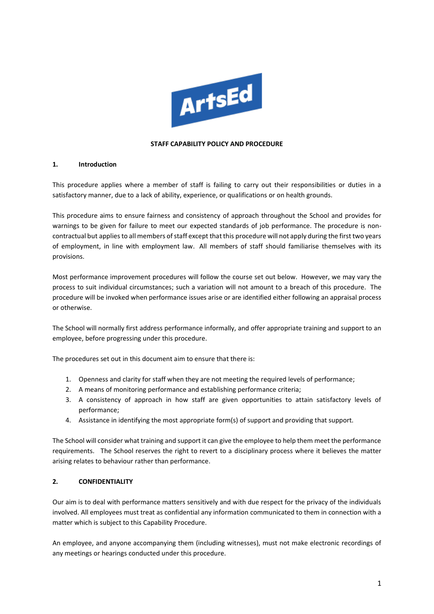

## **STAFF CAPABILITY POLICY AND PROCEDURE**

#### **1. Introduction**

This procedure applies where a member of staff is failing to carry out their responsibilities or duties in a satisfactory manner, due to a lack of ability, experience, or qualifications or on health grounds.

This procedure aims to ensure fairness and consistency of approach throughout the School and provides for warnings to be given for failure to meet our expected standards of job performance. The procedure is noncontractual but applies to all members of staff except that this procedure will not apply during the first two years of employment, in line with employment law. All members of staff should familiarise themselves with its provisions.

Most performance improvement procedures will follow the course set out below. However, we may vary the process to suit individual circumstances; such a variation will not amount to a breach of this procedure. The procedure will be invoked when performance issues arise or are identified either following an appraisal process or otherwise.

The School will normally first address performance informally, and offer appropriate training and support to an employee, before progressing under this procedure.

The procedures set out in this document aim to ensure that there is:

- 1. Openness and clarity for staff when they are not meeting the required levels of performance;
- 2. A means of monitoring performance and establishing performance criteria;
- 3. A consistency of approach in how staff are given opportunities to attain satisfactory levels of performance;
- 4. Assistance in identifying the most appropriate form(s) of support and providing that support.

The School will consider what training and support it can give the employee to help them meet the performance requirements. The School reserves the right to revert to a disciplinary process where it believes the matter arising relates to behaviour rather than performance.

## **2. CONFIDENTIALITY**

Our aim is to deal with performance matters sensitively and with due respect for the privacy of the individuals involved. All employees must treat as confidential any information communicated to them in connection with a matter which is subject to this Capability Procedure.

An employee, and anyone accompanying them (including witnesses), must not make electronic recordings of any meetings or hearings conducted under this procedure.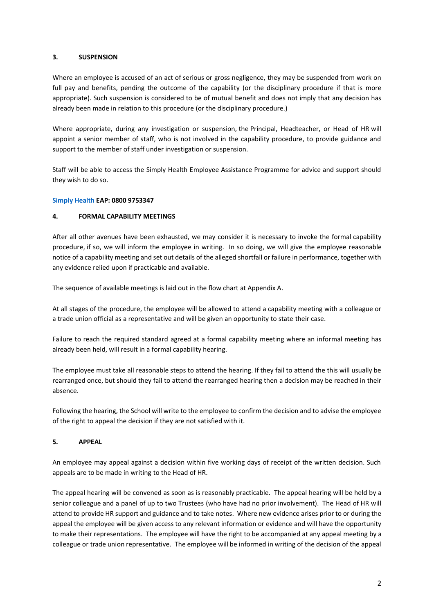### **3. SUSPENSION**

Where an employee is accused of an act of serious or gross negligence, they may be suspended from work on full pay and benefits, pending the outcome of the capability (or the disciplinary procedure if that is more appropriate). Such suspension is considered to be of mutual benefit and does not imply that any decision has already been made in relation to this procedure (or the disciplinary procedure.)

Where appropriate, during any investigation or suspension, the Principal, Headteacher, or Head of HR will appoint a senior member of staff, who is not involved in the capability procedure, to provide guidance and support to the member of staff under investigation or suspension.

Staff will be able to access the Simply Health Employee Assistance Programme for advice and support should they wish to do so.

### **[Simply Health](https://www.simplyhealth.co.uk/) EAP: 0800 9753347**

## **4. FORMAL CAPABILITY MEETINGS**

After all other avenues have been exhausted, we may consider it is necessary to invoke the formal capability procedure, if so, we will inform the employee in writing. In so doing, we will give the employee reasonable notice of a capability meeting and set out details of the alleged shortfall or failure in performance, together with any evidence relied upon if practicable and available.

The sequence of available meetings is laid out in the flow chart at Appendix A.

At all stages of the procedure, the employee will be allowed to attend a capability meeting with a colleague or a trade union official as a representative and will be given an opportunity to state their case.

Failure to reach the required standard agreed at a formal capability meeting where an informal meeting has already been held, will result in a formal capability hearing.

The employee must take all reasonable steps to attend the hearing. If they fail to attend the this will usually be rearranged once, but should they fail to attend the rearranged hearing then a decision may be reached in their absence.

Following the hearing, the School will write to the employee to confirm the decision and to advise the employee of the right to appeal the decision if they are not satisfied with it.

## **5. APPEAL**

An employee may appeal against a decision within five working days of receipt of the written decision. Such appeals are to be made in writing to the Head of HR.

The appeal hearing will be convened as soon as is reasonably practicable. The appeal hearing will be held by a senior colleague and a panel of up to two Trustees (who have had no prior involvement). The Head of HR will attend to provide HR support and guidance and to take notes. Where new evidence arises prior to or during the appeal the employee will be given access to any relevant information or evidence and will have the opportunity to make their representations. The employee will have the right to be accompanied at any appeal meeting by a colleague or trade union representative. The employee will be informed in writing of the decision of the appeal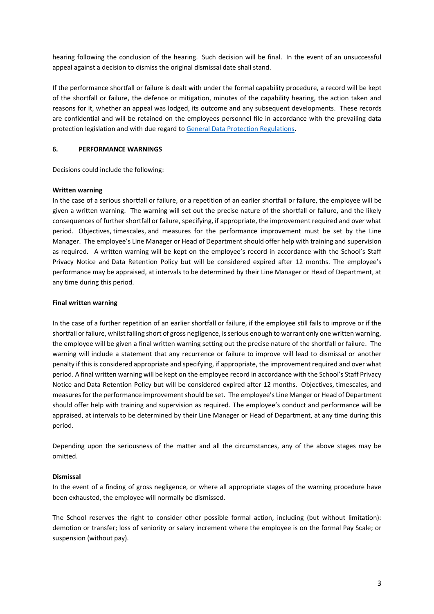hearing following the conclusion of the hearing. Such decision will be final. In the event of an unsuccessful appeal against a decision to dismiss the original dismissal date shall stand.

If the performance shortfall or failure is dealt with under the formal capability procedure, a record will be kept of the shortfall or failure, the defence or mitigation, minutes of the capability hearing, the action taken and reasons for it, whether an appeal was lodged, its outcome and any subsequent developments. These records are confidential and will be retained on the employees personnel file in accordance with the prevailing data protection legislation and with due regard to [General Data Protection](https://ico.org.uk/for-organisations/guide-to-data-protection/guide-to-the-general-data-protection-regulation-gdpr/) Regulations.

### **6. PERFORMANCE WARNINGS**

Decisions could include the following:

#### **Written warning**

In the case of a serious shortfall or failure, or a repetition of an earlier shortfall or failure, the employee will be given a written warning. The warning will set out the precise nature of the shortfall or failure, and the likely consequences of further shortfall or failure, specifying, if appropriate, the improvement required and over what period. Objectives, timescales, and measures for the performance improvement must be set by the Line Manager. The employee's Line Manager or Head of Department should offer help with training and supervision as required. A written warning will be kept on the employee's record in accordance with the School's Staff Privacy Notice and Data Retention Policy but will be considered expired after 12 months. The employee's performance may be appraised, at intervals to be determined by their Line Manager or Head of Department, at any time during this period.

#### **Final written warning**

In the case of a further repetition of an earlier shortfall or failure, if the employee still fails to improve or if the shortfall or failure, whilst falling short of gross negligence, is serious enough to warrant only one written warning, the employee will be given a final written warning setting out the precise nature of the shortfall or failure. The warning will include a statement that any recurrence or failure to improve will lead to dismissal or another penalty if this is considered appropriate and specifying, if appropriate, the improvement required and over what period. A final written warning will be kept on the employee record in accordance with the School's Staff Privacy Notice and Data Retention Policy but will be considered expired after 12 months. Objectives, timescales, and measures for the performance improvement should be set. The employee's Line Manger or Head of Department should offer help with training and supervision as required. The employee's conduct and performance will be appraised, at intervals to be determined by their Line Manager or Head of Department, at any time during this period.

Depending upon the seriousness of the matter and all the circumstances, any of the above stages may be omitted.

#### **Dismissal**

In the event of a finding of gross negligence, or where all appropriate stages of the warning procedure have been exhausted, the employee will normally be dismissed.

The School reserves the right to consider other possible formal action, including (but without limitation): demotion or transfer; loss of seniority or salary increment where the employee is on the formal Pay Scale; or suspension (without pay).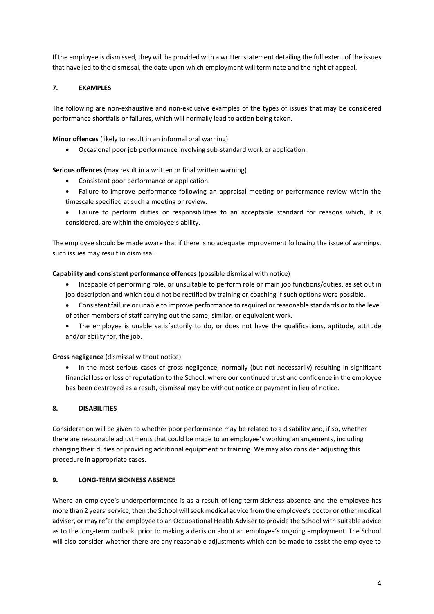If the employee is dismissed, they will be provided with a written statement detailing the full extent of the issues that have led to the dismissal, the date upon which employment will terminate and the right of appeal.

# **7. EXAMPLES**

The following are non-exhaustive and non-exclusive examples of the types of issues that may be considered performance shortfalls or failures, which will normally lead to action being taken.

**Minor offences** (likely to result in an informal oral warning)

• Occasional poor job performance involving sub-standard work or application.

**Serious offences** (may result in a written or final written warning)

- Consistent poor performance or application.
- Failure to improve performance following an appraisal meeting or performance review within the timescale specified at such a meeting or review.
- Failure to perform duties or responsibilities to an acceptable standard for reasons which, it is considered, are within the employee's ability.

The employee should be made aware that if there is no adequate improvement following the issue of warnings, such issues may result in dismissal.

#### **Capability and consistent performance offences** (possible dismissal with notice)

- Incapable of performing role, or unsuitable to perform role or main job functions/duties, as set out in job description and which could not be rectified by training or coaching if such options were possible.
- Consistent failure or unable to improve performance to required or reasonable standards or to the level of other members of staff carrying out the same, similar, or equivalent work.
- The employee is unable satisfactorily to do, or does not have the qualifications, aptitude, attitude and/or ability for, the job.

**Gross negligence** (dismissal without notice)

• In the most serious cases of gross negligence, normally (but not necessarily) resulting in significant financial loss or loss of reputation to the School, where our continued trust and confidence in the employee has been destroyed as a result, dismissal may be without notice or payment in lieu of notice.

## **8. DISABILITIES**

Consideration will be given to whether poor performance may be related to a disability and, if so, whether there are reasonable adjustments that could be made to an employee's working arrangements, including changing their duties or providing additional equipment or training. We may also consider adjusting this procedure in appropriate cases.

#### **9. LONG-TERM SICKNESS ABSENCE**

Where an employee's underperformance is as a result of long-term sickness absence and the employee has more than 2 years' service, then the School will seek medical advice from the employee's doctor or other medical adviser, or may refer the employee to an Occupational Health Adviser to provide the School with suitable advice as to the long-term outlook, prior to making a decision about an employee's ongoing employment. The School will also consider whether there are any reasonable adjustments which can be made to assist the employee to